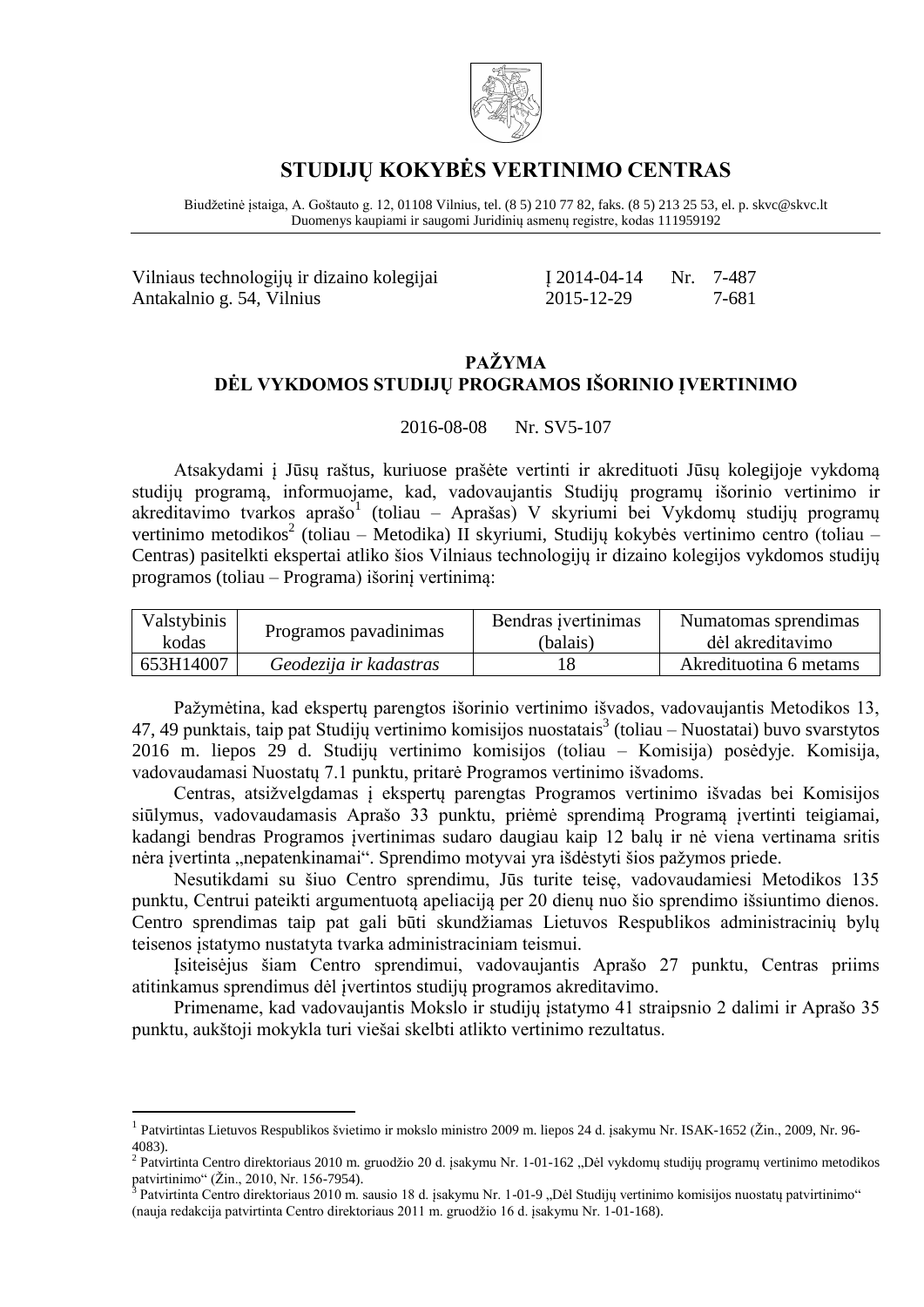

### **STUDIJŲ KOKYBĖS VERTINIMO CENTRAS**

Biudžetinė įstaiga, A. Goštauto g. 12, 01108 Vilnius, tel. (8 5) 210 77 82, faks. (8 5) 213 25 53, el. p. skvc@skvc.lt Duomenys kaupiami ir saugomi Juridinių asmenų registre, kodas 111959192

| Vilniaus technologijų ir dizaino kolegijai | $12014 - 04 - 14$ Nr. 7-487 |       |  |
|--------------------------------------------|-----------------------------|-------|--|
| Antakalnio g. 54, Vilnius                  | 2015-12-29                  | 7-681 |  |

#### **PAŽYMA DĖL VYKDOMOS STUDIJŲ PROGRAMOS IŠORINIO ĮVERTINIMO**

2016-08-08 Nr. SV5-107

Atsakydami į Jūsų raštus, kuriuose prašėte vertinti ir akredituoti Jūsų kolegijoje vykdomą studijų programą, informuojame, kad, vadovaujantis Studijų programų išorinio vertinimo ir akreditavimo tvarkos aprašo<sup>1</sup> (toliau – Aprašas) V skyriumi bei Vykdomų studijų programų vertinimo metodikos<sup>2</sup> (toliau – Metodika) II skyriumi, Studijų kokybės vertinimo centro (toliau – Centras) pasitelkti ekspertai atliko šios Vilniaus technologijų ir dizaino kolegijos vykdomos studijų programos (toliau – Programa) išorinį vertinimą:

| Valstybinis | Programos pavadinimas  | Bendras ivertinimas | Numatomas sprendimas   |
|-------------|------------------------|---------------------|------------------------|
| kodas       |                        | (balais)            | dėl akreditavimo       |
| 653H14007   | Geodezija ir kadastras |                     | Akredituotina 6 metams |

Pažymėtina, kad ekspertų parengtos išorinio vertinimo išvados, vadovaujantis Metodikos 13, 47, 49 punktais, taip pat Studijų vertinimo komisijos nuostatais 3 (toliau – Nuostatai) buvo svarstytos 2016 m. liepos 29 d. Studijų vertinimo komisijos (toliau – Komisija) posėdyje. Komisija, vadovaudamasi Nuostatų 7.1 punktu, pritarė Programos vertinimo išvadoms.

Centras, atsižvelgdamas į ekspertų parengtas Programos vertinimo išvadas bei Komisijos siūlymus, vadovaudamasis Aprašo 33 punktu, priėmė sprendimą Programą įvertinti teigiamai, kadangi bendras Programos įvertinimas sudaro daugiau kaip 12 balų ir nė viena vertinama sritis nėra įvertinta "nepatenkinamai". Sprendimo motyvai yra išdėstyti šios pažymos priede.

Nesutikdami su šiuo Centro sprendimu, Jūs turite teisę, vadovaudamiesi Metodikos 135 punktu, Centrui pateikti argumentuotą apeliaciją per 20 dienų nuo šio sprendimo išsiuntimo dienos. Centro sprendimas taip pat gali būti skundžiamas Lietuvos Respublikos administracinių bylų teisenos įstatymo nustatyta tvarka administraciniam teismui.

Įsiteisėjus šiam Centro sprendimui, vadovaujantis Aprašo 27 punktu, Centras priims atitinkamus sprendimus dėl įvertintos studijų programos akreditavimo.

Primename, kad vadovaujantis Mokslo ir studijų įstatymo 41 straipsnio 2 dalimi ir Aprašo 35 punktu, aukštoji mokykla turi viešai skelbti atlikto vertinimo rezultatus.

1

<sup>&</sup>lt;sup>1</sup> Patvirtintas Lietuvos Respublikos švietimo ir mokslo ministro 2009 m. liepos 24 d. įsakymu Nr. ISAK-1652 (Žin., 2009, Nr. 96-4083).

<sup>&</sup>lt;sup>2</sup> Patvirtinta Centro direktoriaus 2010 m. gruodžio 20 d. įsakymu Nr. 1-01-162 "Dėl vykdomų studijų programų vertinimo metodikos patvirtinimo" (Žin., 2010, Nr. 156-7954).<br><sup>3</sup> Potvirtinte Contro direktoriaus 2010 m. s

Patvirtinta Centro direktoriaus 2010 m. sausio 18 d. įsakymu Nr. 1-01-9 "Dėl Studijų vertinimo komisijos nuostatų patvirtinimo" (nauja redakcija patvirtinta Centro direktoriaus 2011 m. gruodžio 16 d. įsakymu Nr. 1-01-168).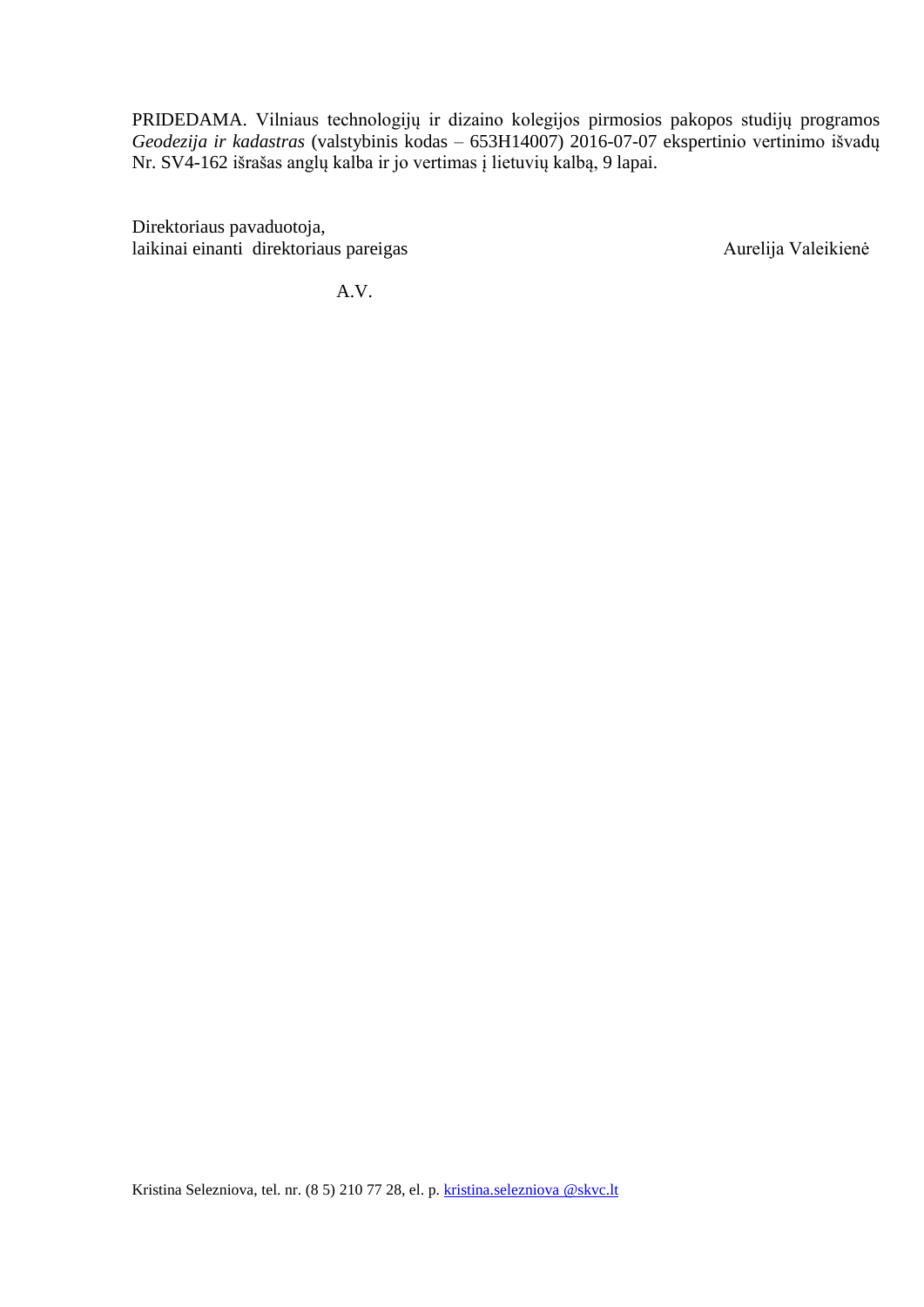PRIDEDAMA. Vilniaus technologijų ir dizaino kolegijos pirmosios pakopos studijų programos *Geodezija ir kadastras* (valstybinis kodas – 653H14007) 2016-07-07 ekspertinio vertinimo išvadų Nr. SV4-162 išrašas anglų kalba ir jo vertimas į lietuvių kalbą, 9 lapai.

Direktoriaus pavaduotoja, laikinai einanti direktoriaus pareigas Aurelija Valeikienė

A.V.

Kristina Selezniova, tel. nr. (8 5) 210 77 28, el. p. [kristina.selezniova @skvc.lt](mailto:renata.grinaite@skvc.lt)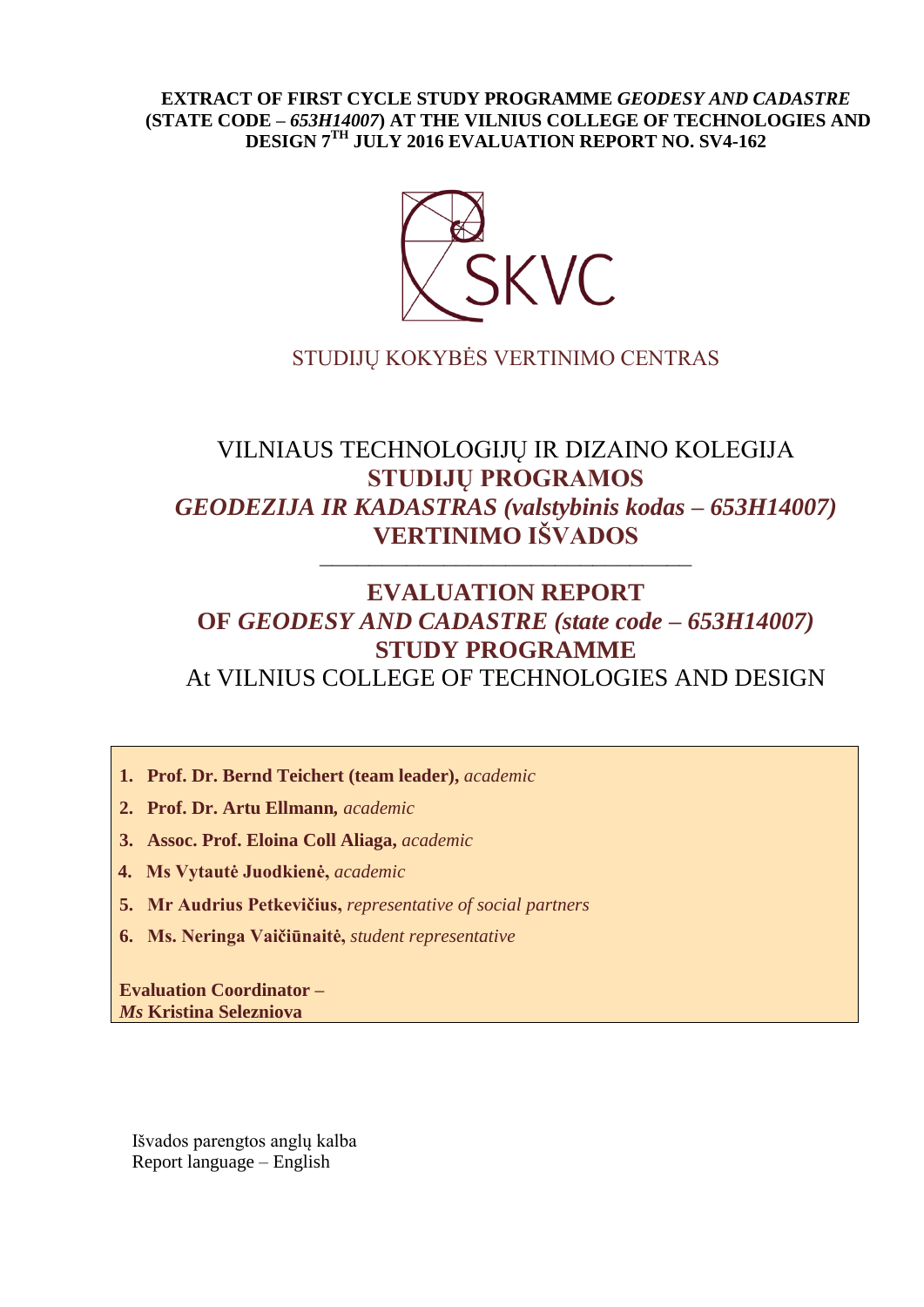#### **EXTRACT OF FIRST CYCLE STUDY PROGRAMME** *GEODESY AND CADASTRE* **(STATE CODE –** *653H14007***) AT THE VILNIUS COLLEGE OF TECHNOLOGIES AND DESIGN 7 TH JULY 2016 EVALUATION REPORT NO. SV4-162**



## STUDIJŲ KOKYBĖS VERTINIMO CENTRAS

# VILNIAUS TECHNOLOGIJŲ IR DIZAINO KOLEGIJA **STUDIJŲ PROGRAMOS**  *GEODEZIJA IR KADASTRAS (valstybinis kodas – 653H14007)* **VERTINIMO IŠVADOS**

––––––––––––––––––––––––––––––

## **EVALUATION REPORT OF** *GEODESY AND CADASTRE (state code – 653H14007)* **STUDY PROGRAMME** At VILNIUS COLLEGE OF TECHNOLOGIES AND DESIGN

- **1. Prof. Dr. Bernd Teichert (team leader),** *academic*
- **2. Prof. Dr. Artu Ellmann***, academic*
- **3. Assoc. Prof. Eloina Coll Aliaga,** *academic*
- **4. Ms Vytautė Juodkienė,** *academic*
- **5. Mr Audrius Petkevičius,** *representative of social partners*
- **6. Ms. Neringa Vaičiūnaitė,** *student representative*

**Evaluation Coordinator –** *Ms* **Kristina Selezniova**

Išvados parengtos anglų kalba Report language – English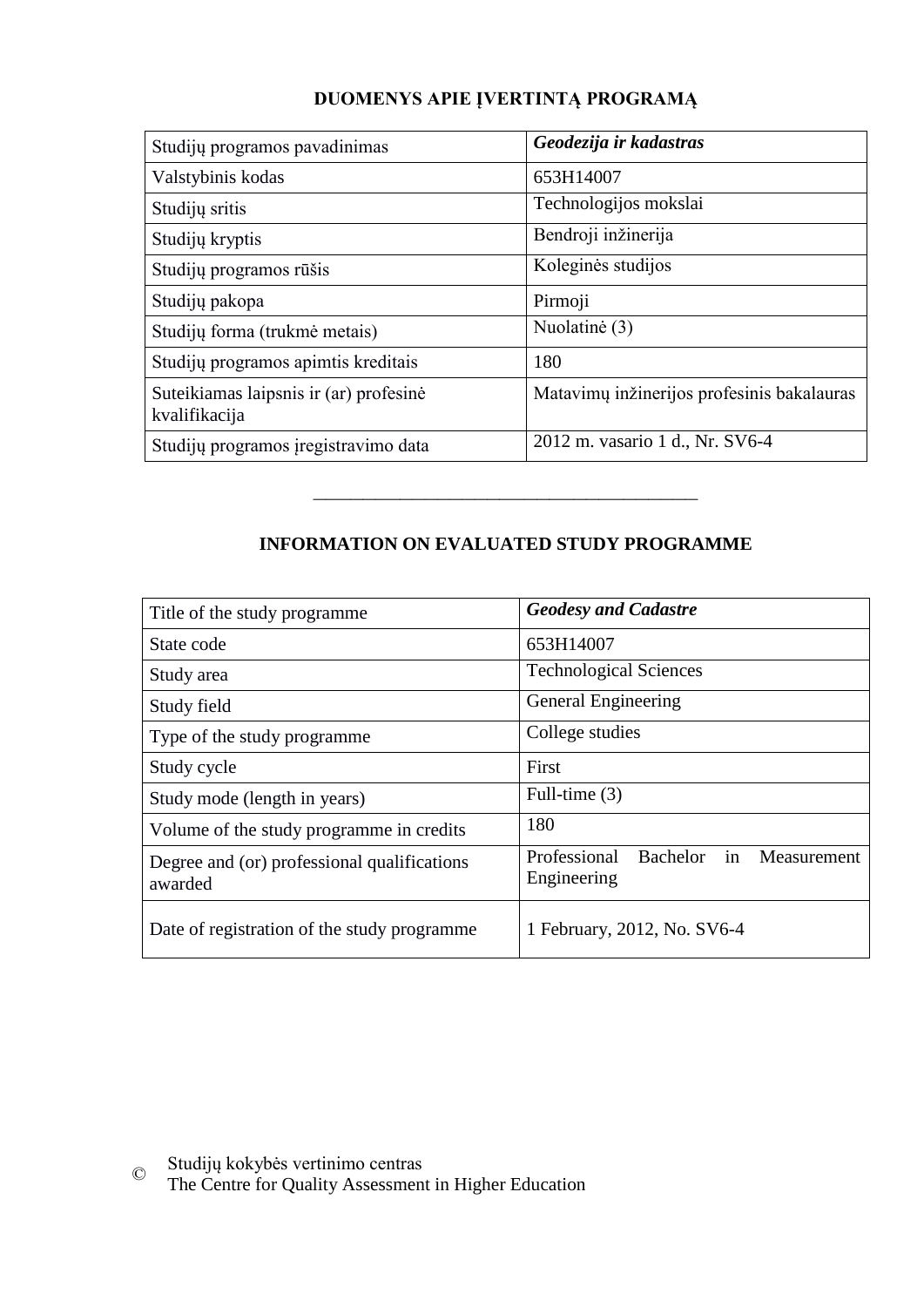### **DUOMENYS APIE ĮVERTINTĄ PROGRAMĄ**

| Studijų programos pavadinimas                           | Geodezija ir kadastras                     |
|---------------------------------------------------------|--------------------------------------------|
| Valstybinis kodas                                       | 653H14007                                  |
| Studijų sritis                                          | Technologijos mokslai                      |
| Studijų kryptis                                         | Bendroji inžinerija                        |
| Studijų programos rūšis                                 | Koleginės studijos                         |
| Studijų pakopa                                          | Pirmoji                                    |
| Studijų forma (trukmė metais)                           | Nuolatinė (3)                              |
| Studijų programos apimtis kreditais                     | 180                                        |
| Suteikiamas laipsnis ir (ar) profesinė<br>kvalifikacija | Matavimų inžinerijos profesinis bakalauras |
| Studijų programos įregistravimo data                    | 2012 m. vasario 1 d., Nr. SV6-4            |

## **INFORMATION ON EVALUATED STUDY PROGRAMME**

–––––––––––––––––––––––––––––––

| Title of the study programme                           | <b>Geodesy and Cadastre</b>                                  |
|--------------------------------------------------------|--------------------------------------------------------------|
| State code                                             | 653H14007                                                    |
| Study area                                             | <b>Technological Sciences</b>                                |
| Study field                                            | General Engineering                                          |
| Type of the study programme                            | College studies                                              |
| Study cycle                                            | First                                                        |
| Study mode (length in years)                           | Full-time $(3)$                                              |
| Volume of the study programme in credits               | 180                                                          |
| Degree and (or) professional qualifications<br>awarded | Professional<br>in<br>Bachelor<br>Measurement<br>Engineering |
| Date of registration of the study programme            | 1 February, 2012, No. SV6-4                                  |

© Studijų kokybės vertinimo centras

The Centre for Quality Assessment in Higher Education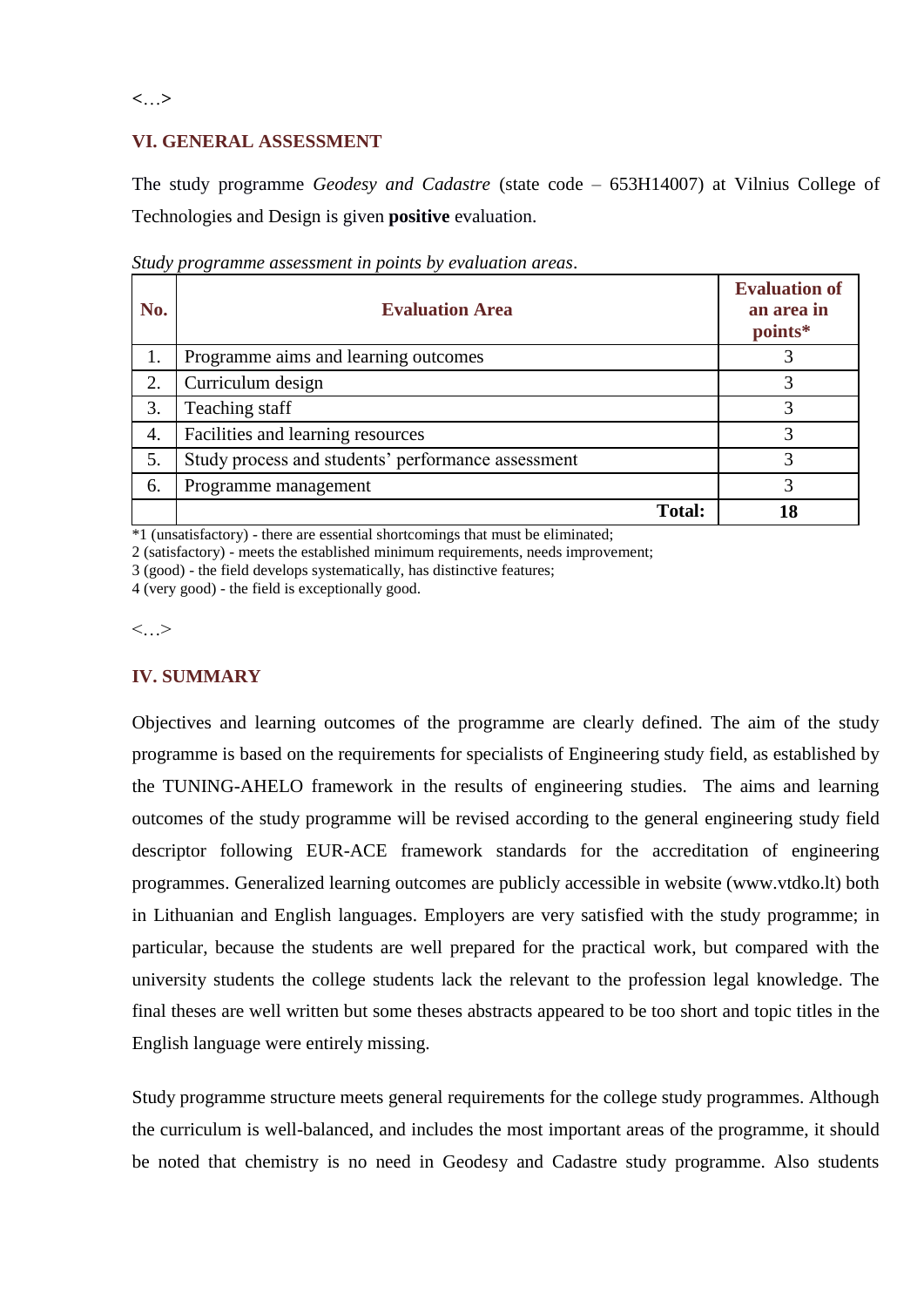**<**…**>**

#### **VI. GENERAL ASSESSMENT**

The study programme *Geodesy and Cadastre* (state code – 653H14007) at Vilnius College of Technologies and Design is given **positive** evaluation.

| No. | <b>Evaluation Area</b>                             | <b>Evaluation of</b><br>an area in<br>points* |
|-----|----------------------------------------------------|-----------------------------------------------|
| 1.  | Programme aims and learning outcomes               |                                               |
| 2.  | Curriculum design                                  | $\mathcal{R}$                                 |
| 3.  | Teaching staff                                     | 3                                             |
| 4.  | Facilities and learning resources                  | 3                                             |
| 5.  | Study process and students' performance assessment | 3                                             |
| 6.  | Programme management                               |                                               |
|     | <b>Total:</b>                                      | 18                                            |

*Study programme assessment in points by evaluation areas*.

 $*1$  (unsatisfactory) - there are essential shortcomings that must be eliminated;

2 (satisfactory) - meets the established minimum requirements, needs improvement;

3 (good) - the field develops systematically, has distinctive features;

4 (very good) - the field is exceptionally good.

 $\langle \cdot, \cdot \rangle$ 

#### **IV. SUMMARY**

Objectives and learning outcomes of the programme are clearly defined. The aim of the study programme is based on the requirements for specialists of Engineering study field, as established by the TUNING-AHELO framework in the results of engineering studies. The aims and learning outcomes of the study programme will be revised according to the general engineering study field descriptor following EUR-ACE framework standards for the accreditation of engineering programmes. Generalized learning outcomes are publicly accessible in website (www.vtdko.lt) both in Lithuanian and English languages. Employers are very satisfied with the study programme; in particular, because the students are well prepared for the practical work, but compared with the university students the college students lack the relevant to the profession legal knowledge. The final theses are well written but some theses abstracts appeared to be too short and topic titles in the English language were entirely missing.

Study programme structure meets general requirements for the college study programmes. Although the curriculum is well-balanced, and includes the most important areas of the programme, it should be noted that chemistry is no need in Geodesy and Cadastre study programme. Also students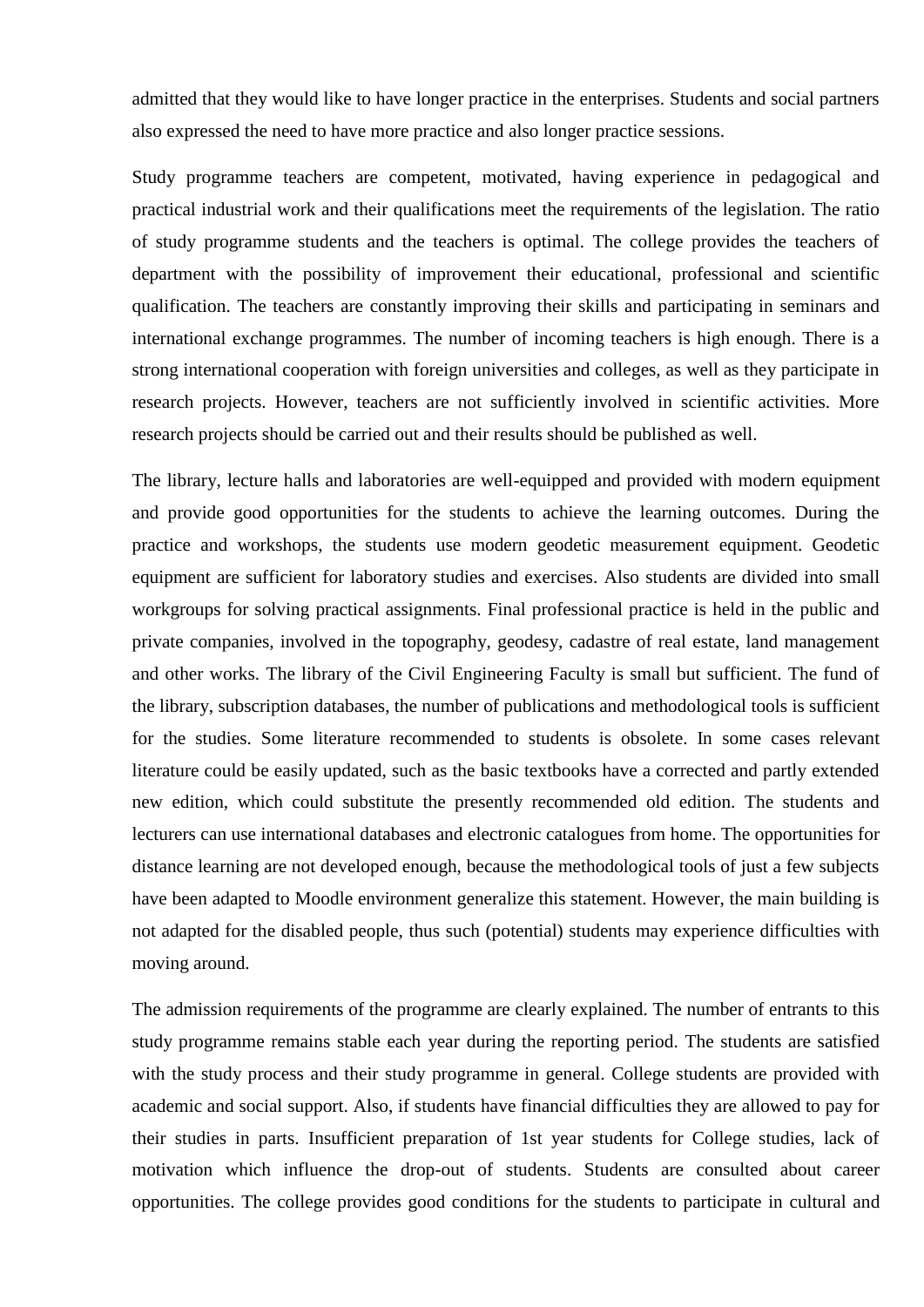admitted that they would like to have longer practice in the enterprises. Students and social partners also expressed the need to have more practice and also longer practice sessions.

Study programme teachers are competent, motivated, having experience in pedagogical and practical industrial work and their qualifications meet the requirements of the legislation. The ratio of study programme students and the teachers is optimal. The college provides the teachers of department with the possibility of improvement their educational, professional and scientific qualification. The teachers are constantly improving their skills and participating in seminars and international exchange programmes. The number of incoming teachers is high enough. There is a strong international cooperation with foreign universities and colleges, as well as they participate in research projects. However, teachers are not sufficiently involved in scientific activities. More research projects should be carried out and their results should be published as well.

The library, lecture halls and laboratories are well-equipped and provided with modern equipment and provide good opportunities for the students to achieve the learning outcomes. During the practice and workshops, the students use modern geodetic measurement equipment. Geodetic equipment are sufficient for laboratory studies and exercises. Also students are divided into small workgroups for solving practical assignments. Final professional practice is held in the public and private companies, involved in the topography, geodesy, cadastre of real estate, land management and other works. The library of the Civil Engineering Faculty is small but sufficient. The fund of the library, subscription databases, the number of publications and methodological tools is sufficient for the studies. Some literature recommended to students is obsolete. In some cases relevant literature could be easily updated, such as the basic textbooks have a corrected and partly extended new edition, which could substitute the presently recommended old edition. The students and lecturers can use international databases and electronic catalogues from home. The opportunities for distance learning are not developed enough, because the methodological tools of just a few subjects have been adapted to Moodle environment generalize this statement. However, the main building is not adapted for the disabled people, thus such (potential) students may experience difficulties with moving around.

The admission requirements of the programme are clearly explained. The number of entrants to this study programme remains stable each year during the reporting period. The students are satisfied with the study process and their study programme in general. College students are provided with academic and social support. Also, if students have financial difficulties they are allowed to pay for their studies in parts. Insufficient preparation of 1st year students for College studies, lack of motivation which influence the drop-out of students. Students are consulted about career opportunities. The college provides good conditions for the students to participate in cultural and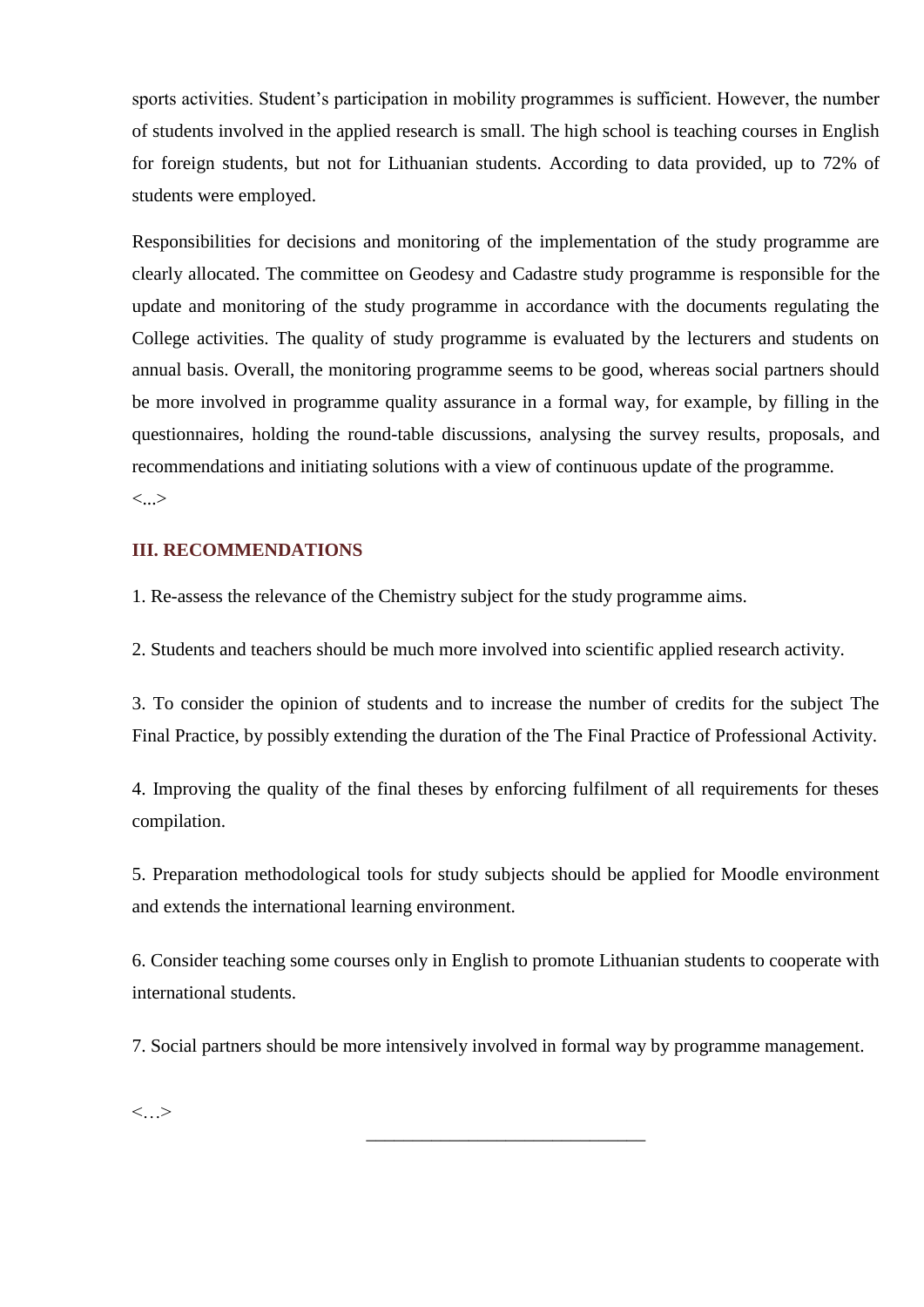sports activities. Student's participation in mobility programmes is sufficient. However, the number of students involved in the applied research is small. The high school is teaching courses in English for foreign students, but not for Lithuanian students. According to data provided, up to 72% of students were employed.

Responsibilities for decisions and monitoring of the implementation of the study programme are clearly allocated. The committee on Geodesy and Cadastre study programme is responsible for the update and monitoring of the study programme in accordance with the documents regulating the College activities. The quality of study programme is evaluated by the lecturers and students on annual basis. Overall, the monitoring programme seems to be good, whereas social partners should be more involved in programme quality assurance in a formal way, for example, by filling in the questionnaires, holding the round-table discussions, analysing the survey results, proposals, and recommendations and initiating solutions with a view of continuous update of the programme. <...>

#### **III. RECOMMENDATIONS**

1. Re-assess the relevance of the Chemistry subject for the study programme aims.

2. Students and teachers should be much more involved into scientific applied research activity.

3. To consider the opinion of students and to increase the number of credits for the subject The Final Practice, by possibly extending the duration of the The Final Practice of Professional Activity.

4. Improving the quality of the final theses by enforcing fulfilment of all requirements for theses compilation.

5. Preparation methodological tools for study subjects should be applied for Moodle environment and extends the international learning environment.

6. Consider teaching some courses only in English to promote Lithuanian students to cooperate with international students.

7. Social partners should be more intensively involved in formal way by programme management.

\_\_\_\_\_\_\_\_\_\_\_\_\_\_\_\_\_\_\_\_\_\_\_\_\_\_\_\_\_\_

<…>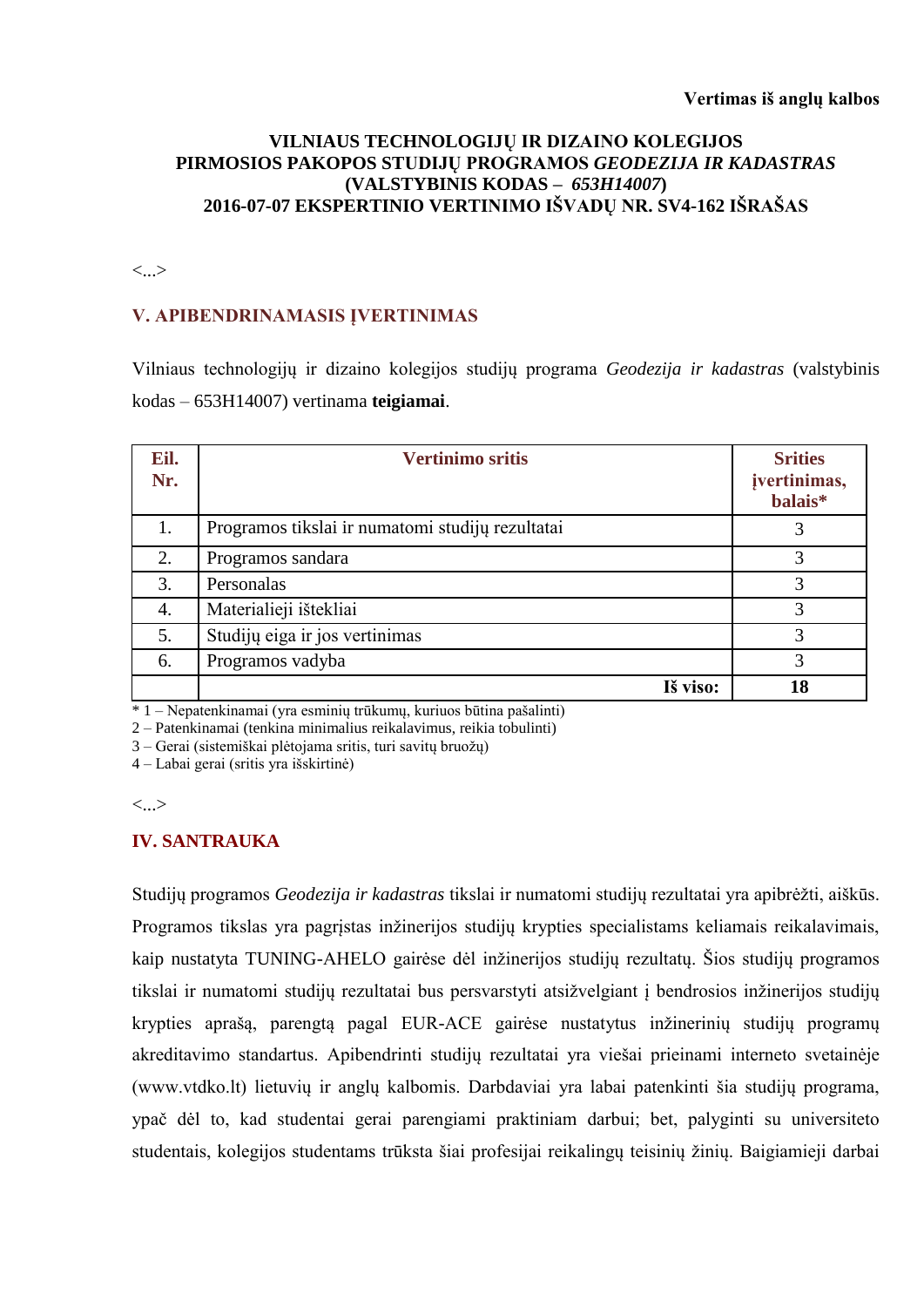#### **VILNIAUS TECHNOLOGIJŲ IR DIZAINO KOLEGIJOS PIRMOSIOS PAKOPOS STUDIJŲ PROGRAMOS** *GEODEZIJA IR KADASTRAS*  **(VALSTYBINIS KODAS –** *653H14007***) 2016-07-07 EKSPERTINIO VERTINIMO IŠVADŲ NR. SV4-162 IŠRAŠAS**

<...>

#### **V. APIBENDRINAMASIS ĮVERTINIMAS**

Vilniaus technologijų ir dizaino kolegijos studijų programa *Geodezija ir kadastras* (valstybinis kodas – 653H14007) vertinama **teigiamai**.

| Eil.<br>Nr. | <b>Vertinimo sritis</b>                          | <b>Srities</b><br>jvertinimas,<br>balais* |
|-------------|--------------------------------------------------|-------------------------------------------|
| 1.          | Programos tikslai ir numatomi studijų rezultatai | 3                                         |
| 2.          | Programos sandara                                | 3                                         |
| 3.          | Personalas                                       | 3                                         |
| 4.          | Materialieji ištekliai                           | 3                                         |
| 5.          | Studijų eiga ir jos vertinimas                   | 3                                         |
| 6.          | Programos vadyba                                 | 3                                         |
|             | Iš viso:                                         | 18                                        |

 $* 1 - Nepatenkinamai$  (yra esminių trūkumų, kuriuos būtina pašalinti)

2 – Patenkinamai (tenkina minimalius reikalavimus, reikia tobulinti)

3 – Gerai (sistemiškai plėtojama sritis, turi savitų bruožų)

4 – Labai gerai (sritis yra išskirtinė)

<...>

#### **IV. SANTRAUKA**

Studijų programos *Geodezija ir kadastras* tikslai ir numatomi studijų rezultatai yra apibrėžti, aiškūs. Programos tikslas yra pagristas inžinerijos studijų krypties specialistams keliamais reikalavimais, kaip nustatyta TUNING-AHELO gairėse dėl inžinerijos studijų rezultatų. Šios studijų programos tikslai ir numatomi studijų rezultatai bus persvarstyti atsižvelgiant į bendrosios inžinerijos studijų krypties aprašą, parengtą pagal EUR-ACE gairėse nustatytus inžinerinių studijų programų akreditavimo standartus. Apibendrinti studijų rezultatai yra viešai prieinami interneto svetainėje (www.vtdko.lt) lietuvių ir anglų kalbomis. Darbdaviai yra labai patenkinti šia studijų programa, ypač dėl to, kad studentai gerai parengiami praktiniam darbui; bet, palyginti su universiteto studentais, kolegijos studentams trūksta šiai profesijai reikalingų teisinių žinių. Baigiamieji darbai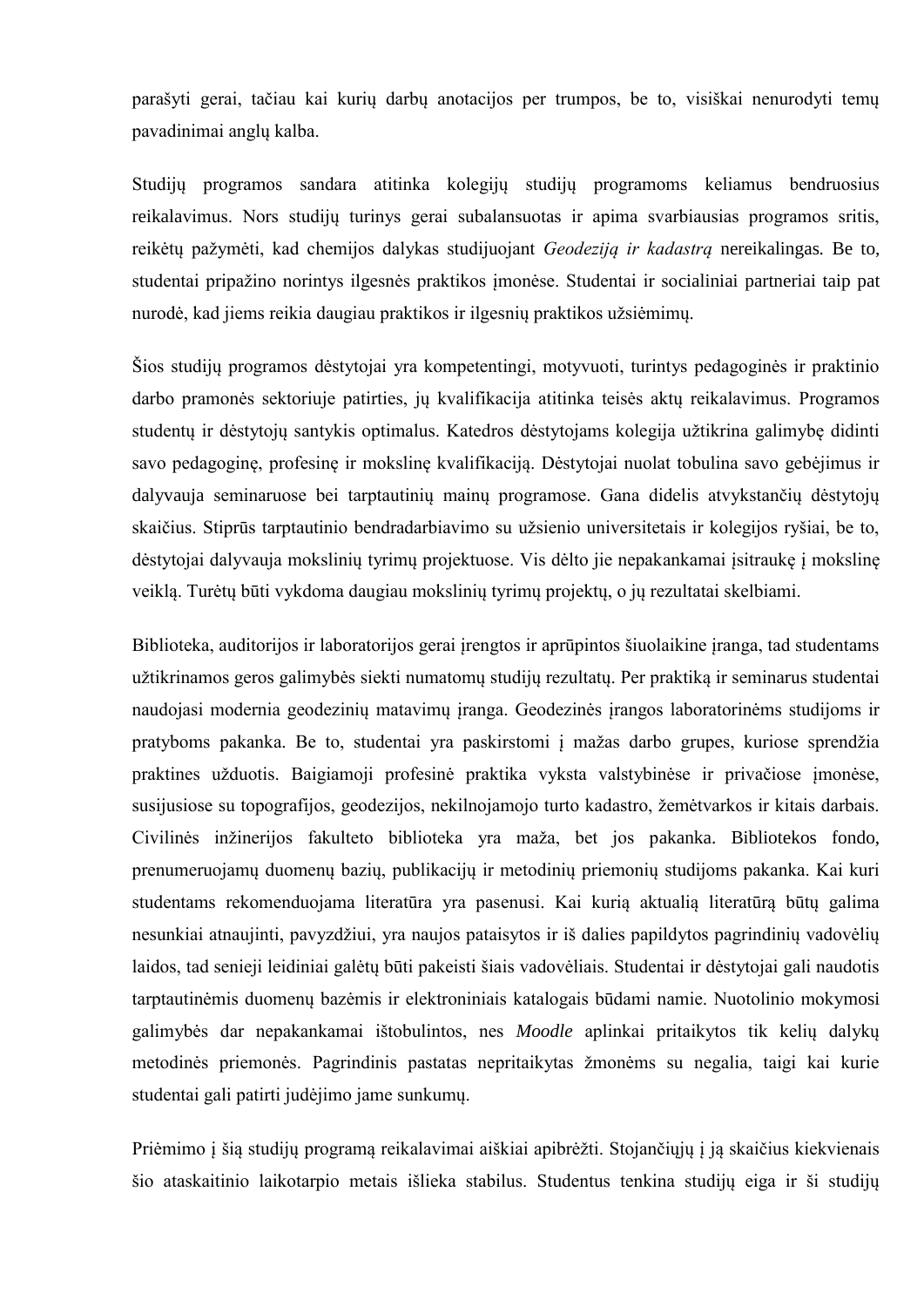parašyti gerai, tačiau kai kurių darbų anotacijos per trumpos, be to, visiškai nenurodyti temų pavadinimai anglų kalba.

Studijų programos sandara atitinka kolegijų studijų programoms keliamus bendruosius reikalavimus. Nors studijų turinys gerai subalansuotas ir apima svarbiausias programos sritis, reikėtų pažymėti, kad chemijos dalykas studijuojant *Geodeziją ir kadastrą* nereikalingas*.* Be to, studentai pripažino norintys ilgesnės praktikos įmonėse. Studentai ir socialiniai partneriai taip pat nurodė, kad jiems reikia daugiau praktikos ir ilgesnių praktikos užsiėmimų.

Šios studijų programos dėstytojai yra kompetentingi, motyvuoti, turintys pedagoginės ir praktinio darbo pramonės sektoriuje patirties, jų kvalifikacija atitinka teisės aktų reikalavimus. Programos studentų ir dėstytojų santykis optimalus. Katedros dėstytojams kolegija užtikrina galimybę didinti savo pedagoginę, profesinę ir mokslinę kvalifikaciją. Dėstytojai nuolat tobulina savo gebėjimus ir dalyvauja seminaruose bei tarptautinių mainų programose. Gana didelis atvykstančių dėstytojų skaičius. Stiprūs tarptautinio bendradarbiavimo su užsienio universitetais ir kolegijos ryšiai, be to, dėstytojai dalyvauja mokslinių tyrimų projektuose. Vis dėlto jie nepakankamai įsitraukę į mokslinę veiklą. Turėtų būti vykdoma daugiau mokslinių tyrimų projektų, o jų rezultatai skelbiami.

Biblioteka, auditorijos ir laboratorijos gerai įrengtos ir aprūpintos šiuolaikine įranga, tad studentams užtikrinamos geros galimybės siekti numatomų studijų rezultatų. Per praktiką ir seminarus studentai naudojasi modernia geodezinių matavimų įranga. Geodezinės įrangos laboratorinėms studijoms ir pratyboms pakanka. Be to, studentai yra paskirstomi į mažas darbo grupes, kuriose sprendžia praktines užduotis. Baigiamoji profesinė praktika vyksta valstybinėse ir privačiose įmonėse, susijusiose su topografijos, geodezijos, nekilnojamojo turto kadastro, žemėtvarkos ir kitais darbais. Civilinės inžinerijos fakulteto biblioteka yra maža, bet jos pakanka. Bibliotekos fondo, prenumeruojamų duomenų bazių, publikacijų ir metodinių priemonių studijoms pakanka. Kai kuri studentams rekomenduojama literatūra yra pasenusi. Kai kurią aktualią literatūrą būtų galima nesunkiai atnaujinti, pavyzdžiui, yra naujos pataisytos ir iš dalies papildytos pagrindinių vadovėlių laidos, tad senieji leidiniai galėtų būti pakeisti šiais vadovėliais. Studentai ir dėstytojai gali naudotis tarptautinėmis duomenų bazėmis ir elektroniniais katalogais būdami namie. Nuotolinio mokymosi galimybės dar nepakankamai ištobulintos, nes *Moodle* aplinkai pritaikytos tik kelių dalykų metodinės priemonės. Pagrindinis pastatas nepritaikytas žmonėms su negalia, taigi kai kurie studentai gali patirti judėjimo jame sunkumų.

Priėmimo į šią studijų programą reikalavimai aiškiai apibrėžti. Stojančiųjų į ją skaičius kiekvienais šio ataskaitinio laikotarpio metais išlieka stabilus. Studentus tenkina studijų eiga ir ši studijų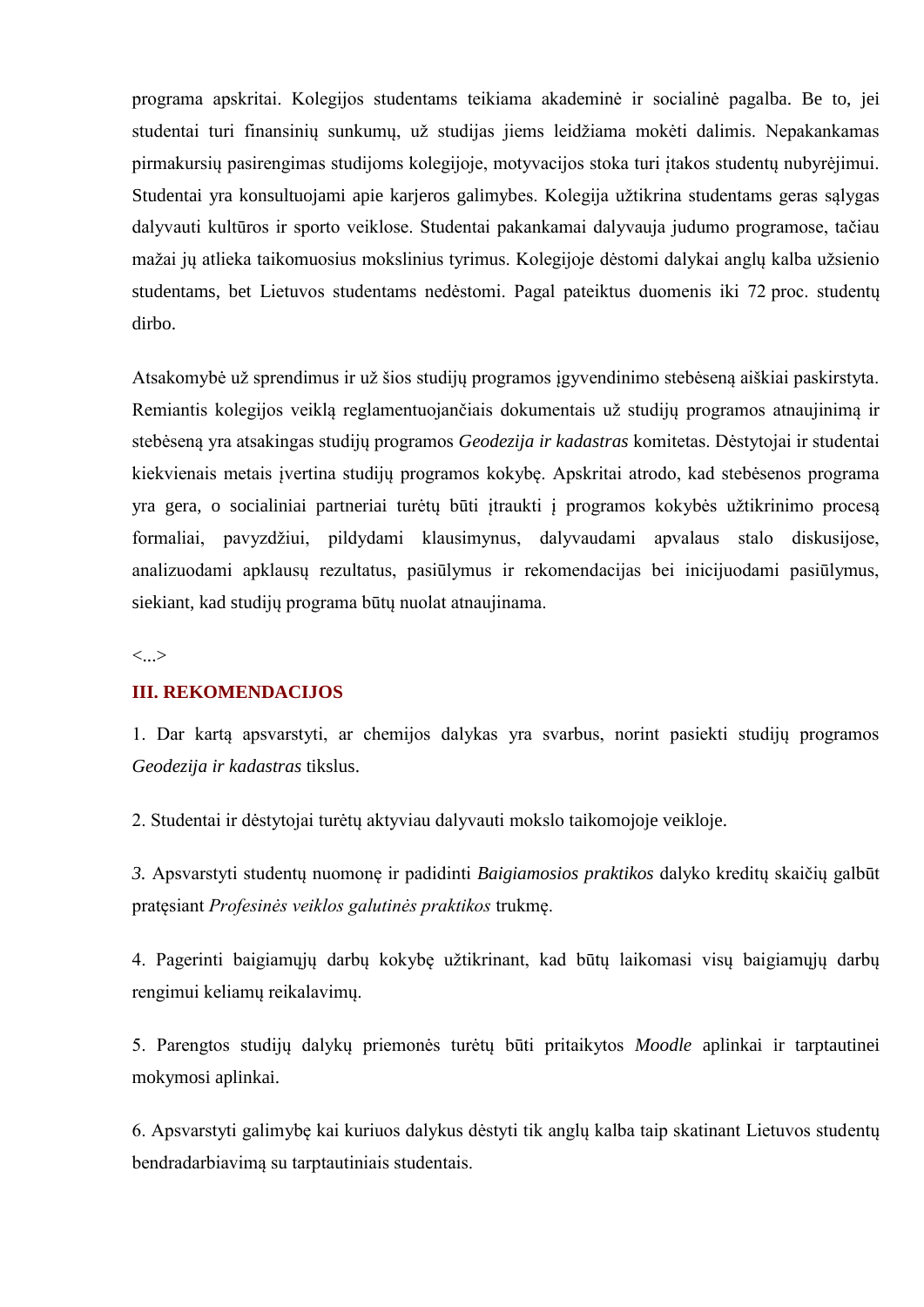programa apskritai. Kolegijos studentams teikiama akademinė ir socialinė pagalba. Be to, jei studentai turi finansinių sunkumų, už studijas jiems leidžiama mokėti dalimis. Nepakankamas pirmakursių pasirengimas studijoms kolegijoje, motyvacijos stoka turi įtakos studentų nubyrėjimui. Studentai yra konsultuojami apie karjeros galimybes. Kolegija užtikrina studentams geras sąlygas dalyvauti kultūros ir sporto veiklose. Studentai pakankamai dalyvauja judumo programose, tačiau mažai jų atlieka taikomuosius mokslinius tyrimus. Kolegijoje dėstomi dalykai anglų kalba užsienio studentams, bet Lietuvos studentams nedėstomi. Pagal pateiktus duomenis iki 72 proc. studentų dirbo.

Atsakomybė už sprendimus ir už šios studijų programos įgyvendinimo stebėseną aiškiai paskirstyta. Remiantis kolegijos veiklą reglamentuojančiais dokumentais už studijų programos atnaujinimą ir stebėseną yra atsakingas studijų programos *Geodezija ir kadastras* komitetas. Dėstytojai ir studentai kiekvienais metais įvertina studijų programos kokybę. Apskritai atrodo, kad stebėsenos programa yra gera, o socialiniai partneriai turėtų būti įtraukti į programos kokybės užtikrinimo procesą formaliai, pavyzdžiui, pildydami klausimynus, dalyvaudami apvalaus stalo diskusijose, analizuodami apklausų rezultatus, pasiūlymus ir rekomendacijas bei inicijuodami pasiūlymus, siekiant, kad studijų programa būtų nuolat atnaujinama.

<...>

#### **III. REKOMENDACIJOS**

1. Dar kartą apsvarstyti, ar chemijos dalykas yra svarbus, norint pasiekti studijų programos *Geodezija ir kadastras* tikslus.

2. Studentai ir dėstytojai turėtų aktyviau dalyvauti mokslo taikomojoje veikloje.

*3.* Apsvarstyti studentų nuomonę ir padidinti *Baigiamosios praktikos* dalyko kreditų skaičių galbūt pratęsiant *Profesinės veiklos galutinės praktikos* trukmę.

4. Pagerinti baigiamųjų darbų kokybę užtikrinant, kad būtų laikomasi visų baigiamųjų darbų rengimui keliamų reikalavimų.

5. Parengtos studijų dalykų priemonės turėtų būti pritaikytos *Moodle* aplinkai ir tarptautinei mokymosi aplinkai.

6. Apsvarstyti galimybę kai kuriuos dalykus dėstyti tik anglų kalba taip skatinant Lietuvos studentų bendradarbiavimą su tarptautiniais studentais.